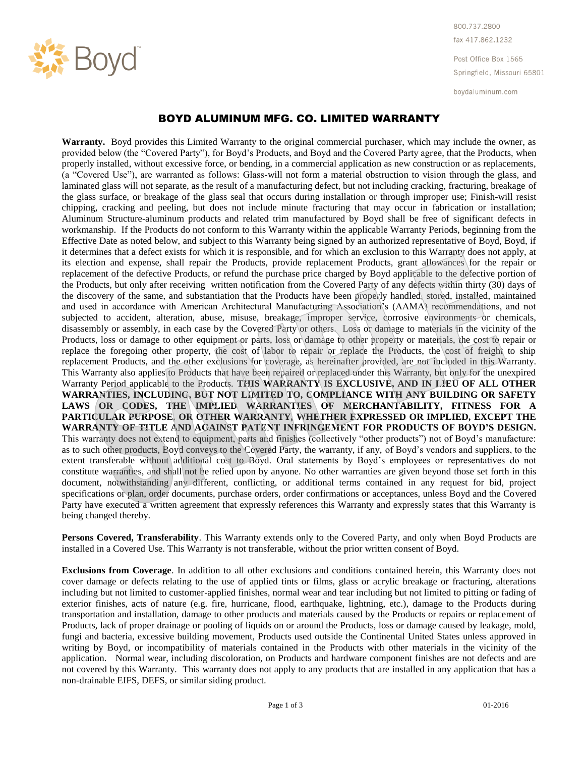

800.737.2800 fax 417.862.1232

Post Office Box 1565 Springfield, Missouri 65801

boydaluminum.com

## BOYD ALUMINUM MFG. CO. LIMITED WARRANTY

**Warranty.** Boyd provides this Limited Warranty to the original commercial purchaser, which may include the owner, as provided below (the "Covered Party"), for Boyd's Products, and Boyd and the Covered Party agree, that the Products, when properly installed, without excessive force, or bending, in a commercial application as new construction or as replacements, (a "Covered Use"), are warranted as follows: Glass-will not form a material obstruction to vision through the glass, and laminated glass will not separate, as the result of a manufacturing defect, but not including cracking, fracturing, breakage of the glass surface, or breakage of the glass seal that occurs during installation or through improper use; Finish-will resist chipping, cracking and peeling, but does not include minute fracturing that may occur in fabrication or installation; Aluminum Structure-aluminum products and related trim manufactured by Boyd shall be free of significant defects in workmanship. If the Products do not conform to this Warranty within the applicable Warranty Periods, beginning from the Effective Date as noted below, and subject to this Warranty being signed by an authorized representative of Boyd, Boyd, if it determines that a defect exists for which it is responsible, and for which an exclusion to this Warranty does not apply, at its election and expense, shall repair the Products, provide replacement Products, grant allowances for the repair or replacement of the defective Products, or refund the purchase price charged by Boyd applicable to the defective portion of the Products, but only after receiving written notification from the Covered Party of any defects within thirty (30) days of the discovery of the same, and substantiation that the Products have been properly handled, stored, installed, maintained and used in accordance with American Architectural Manufacturing Association's (AAMA) recommendations, and not subjected to accident, alteration, abuse, misuse, breakage, improper service, corrosive environments or chemicals, disassembly or assembly, in each case by the Covered Party or others. Loss or damage to materials in the vicinity of the Products, loss or damage to other equipment or parts, loss or damage to other property or materials, the cost to repair or replace the foregoing other property, the cost of labor to repair or replace the Products, the cost of freight to ship replacement Products, and the other exclusions for coverage, as hereinafter provided, are not included in this Warranty. This Warranty also applies to Products that have been repaired or replaced under this Warranty, but only for the unexpired Warranty Period applicable to the Products. **THIS WARRANTY IS EXCLUSIVE, AND IN LIEU OF ALL OTHER WARRANTIES, INCLUDING, BUT NOT LIMITED TO, COMPLIANCE WITH ANY BUILDING OR SAFETY**  LAWS OR CODES, THE IMPLIED WARRANTIES OF MERCHANTABILITY, FITNESS FOR A **PARTICULAR PURPOSE, OR OTHER WARRANTY, WHETHER EXPRESSED OR IMPLIED, EXCEPT THE WARRANTY OF TITLE AND AGAINST PATENT INFRINGEMENT FOR PRODUCTS OF BOYD'S DESIGN.**  This warranty does not extend to equipment, parts and finishes (collectively "other products") not of Boyd's manufacture: as to such other products, Boyd conveys to the Covered Party, the warranty, if any, of Boyd's vendors and suppliers, to the extent transferable without additional cost to Boyd. Oral statements by Boyd's employees or representatives do not constitute warranties, and shall not be relied upon by anyone. No other warranties are given beyond those set forth in this document, notwithstanding any different, conflicting, or additional terms contained in any request for bid, project specifications or plan, order documents, purchase orders, order confirmations or acceptances, unless Boyd and the Covered Party have executed a written agreement that expressly references this Warranty and expressly states that this Warranty is being changed thereby.

**Persons Covered, Transferability**. This Warranty extends only to the Covered Party, and only when Boyd Products are installed in a Covered Use. This Warranty is not transferable, without the prior written consent of Boyd.

**Exclusions from Coverage**. In addition to all other exclusions and conditions contained herein, this Warranty does not cover damage or defects relating to the use of applied tints or films, glass or acrylic breakage or fracturing, alterations including but not limited to customer-applied finishes, normal wear and tear including but not limited to pitting or fading of exterior finishes, acts of nature (e.g. fire, hurricane, flood, earthquake, lightning, etc.), damage to the Products during transportation and installation, damage to other products and materials caused by the Products or repairs or replacement of Products, lack of proper drainage or pooling of liquids on or around the Products, loss or damage caused by leakage, mold, fungi and bacteria, excessive building movement, Products used outside the Continental United States unless approved in writing by Boyd, or incompatibility of materials contained in the Products with other materials in the vicinity of the application. Normal wear, including discoloration, on Products and hardware component finishes are not defects and are not covered by this Warranty. This warranty does not apply to any products that are installed in any application that has a non-drainable EIFS, DEFS, or similar siding product.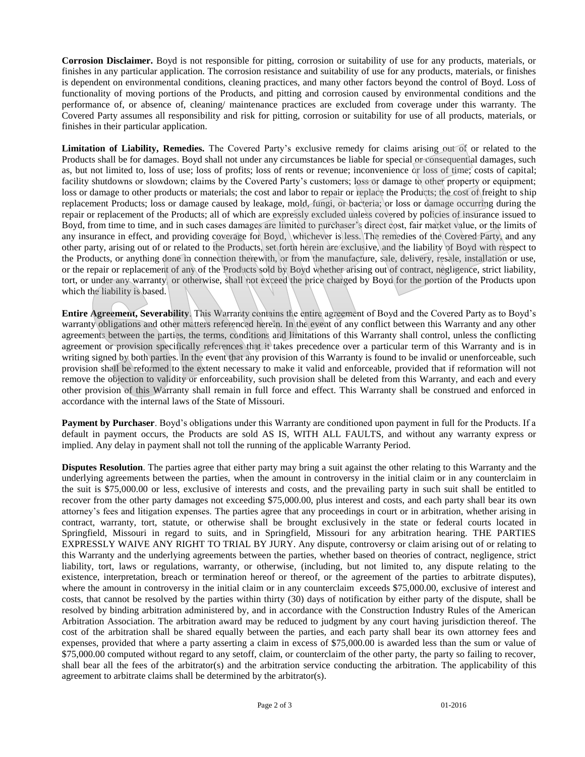**Corrosion Disclaimer.** Boyd is not responsible for pitting, corrosion or suitability of use for any products, materials, or finishes in any particular application. The corrosion resistance and suitability of use for any products, materials, or finishes is dependent on environmental conditions, cleaning practices, and many other factors beyond the control of Boyd. Loss of functionality of moving portions of the Products, and pitting and corrosion caused by environmental conditions and the performance of, or absence of, cleaning/ maintenance practices are excluded from coverage under this warranty. The Covered Party assumes all responsibility and risk for pitting, corrosion or suitability for use of all products, materials, or finishes in their particular application.

**Limitation of Liability, Remedies.** The Covered Party's exclusive remedy for claims arising out of or related to the Products shall be for damages. Boyd shall not under any circumstances be liable for special or consequential damages, such as, but not limited to, loss of use; loss of profits; loss of rents or revenue; inconvenience  $\alpha r$  loss of time; costs of capital; facility shutdowns or slowdown; claims by the Covered Party's customers; loss or damage to other property or equipment; loss or damage to other products or materials; the cost and labor to repair or replace the Products; the cost of freight to ship replacement Products; loss or damage caused by leakage, mold, fungi, or bacteria; or loss or damage occurring during the repair or replacement of the Products; all of which are expressly excluded unless covered by policies of insurance issued to Boyd, from time to time, and in such cases damages are limited to purchaser's direct cost, fair market value, or the limits of any insurance in effect, and providing coverage for Boyd, whichever is less. The remedies of the Covered Party, and any other party, arising out of or related to the Products, set forth herein are exclusive, and the liability of Boyd with respect to the Products, or anything done in connection therewith, or from the manufacture, sale, delivery, resale, installation or use, or the repair or replacement of any of the Products sold by Boyd whether arising out of contract, negligence, strict liability, tort, or under any warranty, or otherwise, shall not exceed the price charged by Boyd for the portion of the Products upon which the liability is based.

**Entire Agreement, Severability**. This Warranty contains the entire agreement of Boyd and the Covered Party as to Boyd's warranty obligations and other matters referenced herein. In the event of any conflict between this Warranty and any other agreements between the parties, the terms, conditions and limitations of this Warranty shall control, unless the conflicting agreement or provision specifically references that it takes precedence over a particular term of this Warranty and is in writing signed by both parties. In the event that any provision of this Warranty is found to be invalid or unenforceable, such provision shall be reformed to the extent necessary to make it valid and enforceable, provided that if reformation will not remove the objection to validity or enforceability, such provision shall be deleted from this Warranty, and each and every other provision of this Warranty shall remain in full force and effect. This Warranty shall be construed and enforced in accordance with the internal laws of the State of Missouri.

**Payment by Purchaser**. Boyd's obligations under this Warranty are conditioned upon payment in full for the Products. If a default in payment occurs, the Products are sold AS IS, WITH ALL FAULTS, and without any warranty express or implied. Any delay in payment shall not toll the running of the applicable Warranty Period.

**Disputes Resolution**. The parties agree that either party may bring a suit against the other relating to this Warranty and the underlying agreements between the parties, when the amount in controversy in the initial claim or in any counterclaim in the suit is \$75,000.00 or less, exclusive of interests and costs, and the prevailing party in such suit shall be entitled to recover from the other party damages not exceeding \$75,000.00, plus interest and costs, and each party shall bear its own attorney's fees and litigation expenses. The parties agree that any proceedings in court or in arbitration, whether arising in contract, warranty, tort, statute, or otherwise shall be brought exclusively in the state or federal courts located in Springfield, Missouri in regard to suits, and in Springfield, Missouri for any arbitration hearing. THE PARTIES EXPRESSLY WAIVE ANY RIGHT TO TRIAL BY JURY. Any dispute, controversy or claim arising out of or relating to this Warranty and the underlying agreements between the parties, whether based on theories of contract, negligence, strict liability, tort, laws or regulations, warranty, or otherwise, (including, but not limited to, any dispute relating to the existence, interpretation, breach or termination hereof or thereof, or the agreement of the parties to arbitrate disputes), where the amount in controversy in the initial claim or in any counterclaim exceeds \$75,000.00, exclusive of interest and costs, that cannot be resolved by the parties within thirty (30) days of notification by either party of the dispute, shall be resolved by binding arbitration administered by, and in accordance with the Construction Industry Rules of the American Arbitration Association. The arbitration award may be reduced to judgment by any court having jurisdiction thereof. The cost of the arbitration shall be shared equally between the parties, and each party shall bear its own attorney fees and expenses, provided that where a party asserting a claim in excess of \$75,000.00 is awarded less than the sum or value of \$75,000.00 computed without regard to any setoff, claim, or counterclaim of the other party, the party so failing to recover, shall bear all the fees of the arbitrator(s) and the arbitration service conducting the arbitration. The applicability of this agreement to arbitrate claims shall be determined by the arbitrator(s).